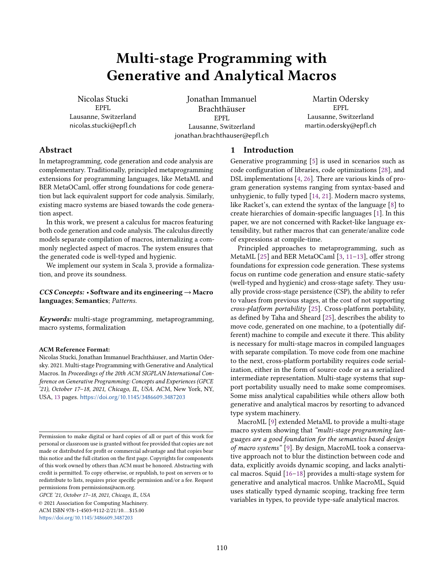# Multi-stage Programming with Generative and Analytical Macros

Nicolas Stucki EPFL Lausanne, Switzerland nicolas.stucki@epfl.ch

Jonathan Immanuel Brachthäuser EPFL Lausanne, Switzerland jonathan.brachthauser@epfl.ch

Martin Odersky EPFL Lausanne, Switzerland martin.odersky@epfl.ch

# Abstract

In metaprogramming, code generation and code analysis are complementary. Traditionally, principled metaprogramming extensions for programming languages, like MetaML and BER MetaOCaml, offer strong foundations for code generation but lack equivalent support for code analysis. Similarly, existing macro systems are biased towards the code generation aspect.

In this work, we present a calculus for macros featuring both code generation and code analysis. The calculus directly models separate compilation of macros, internalizing a commonly neglected aspect of macros. The system ensures that the generated code is well-typed and hygienic.

We implement our system in Scala 3, provide a formalization, and prove its soundness.

# CCS Concepts: • Software and its engineering → Macro languages; Semantics; Patterns.

Keywords: multi-stage programming, metaprogramming, macro systems, formalization

### ACM Reference Format:

Nicolas Stucki, Jonathan Immanuel Brachthäuser, and Martin Odersky. 2021. Multi-stage Programming with Generative and Analytical Macros. In Proceedings of the 20th ACM SIGPLAN International Conference on Generative Programming: Concepts and Experiences (GPCE '21), October 17–18, 2021, Chicago, IL, USA. ACM, New York, NY, USA, [13](#page-12-0) pages. <https://doi.org/10.1145/3486609.3487203>

GPCE '21, October 17–18, 2021, Chicago, IL, USA

© 2021 Association for Computing Machinery. ACM ISBN 978-1-4503-9112-2/21/10...\$15.00 <https://doi.org/10.1145/3486609.3487203>

# 1 Introduction

Generative programming [\[5\]](#page-12-1) is used in scenarios such as code configuration of libraries, code optimizations [\[28\]](#page-12-2), and DSL implementations [\[4,](#page-12-3) [26\]](#page-12-4). There are various kinds of program generation systems ranging from syntax-based and unhygienic, to fully typed [\[14,](#page-12-5) [21\]](#page-12-6). Modern macro systems, like Racket's, can extend the syntax of the language [\[8\]](#page-12-7) to create hierarchies of domain-specific languages [\[1\]](#page-12-8). In this paper, we are not concerned with Racket-like language extensibility, but rather macros that can generate/analize code of expressions at compile-time.

Principled approaches to metaprogramming, such as MetaML [\[25\]](#page-12-9) and BER MetaOCaml [\[3,](#page-12-10) [11–](#page-12-11)[13\]](#page-12-12), offer strong foundations for expression code generation. These systems focus on runtime code generation and ensure static-safety (well-typed and hygienic) and cross-stage safety. They usually provide cross-stage persistence (CSP), the ability to refer to values from previous stages, at the cost of not supporting cross-platform portability [\[25\]](#page-12-9). Cross-platform portability, as defined by Taha and Sheard [\[25\]](#page-12-9), describes the ability to move code, generated on one machine, to a (potentially different) machine to compile and execute it there. This ability is necessary for multi-stage macros in compiled languages with separate compilation. To move code from one machine to the next, cross-platform portability requires code serialization, either in the form of source code or as a serialized intermediate representation. Multi-stage systems that support portability usually need to make some compromises. Some miss analytical capabilities while others allow both generative and analytical macros by resorting to advanced type system machinery.

MacroML [\[9\]](#page-12-13) extended MetaML to provide a multi-stage macro system showing that "multi-stage programming languages are a good foundation for the semantics based design of macro systems" [\[9\]](#page-12-13). By design, MacroML took a conservative approach not to blur the distinction between code and data, explicitly avoids dynamic scoping, and lacks analytical macros. Squid [\[16–](#page-12-14)[18\]](#page-12-15) provides a multi-stage system for generative and analytical macros. Unlike MacroML, Squid uses statically typed dynamic scoping, tracking free term variables in types, to provide type-safe analytical macros.

Permission to make digital or hard copies of all or part of this work for personal or classroom use is granted without fee provided that copies are not made or distributed for profit or commercial advantage and that copies bear this notice and the full citation on the first page. Copyrights for components of this work owned by others than ACM must be honored. Abstracting with credit is permitted. To copy otherwise, or republish, to post on servers or to redistribute to lists, requires prior specific permission and/or a fee. Request permissions from permissions@acm.org.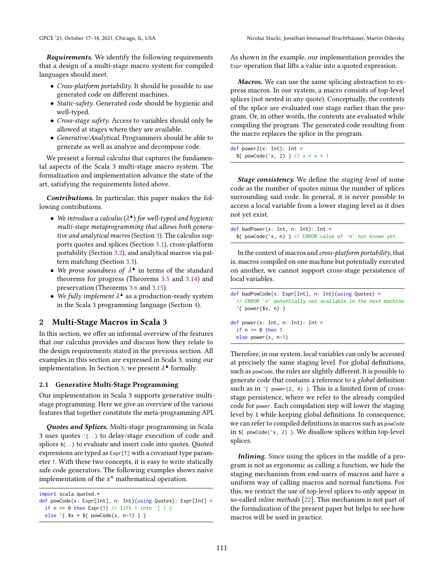**Requirements.** We identify the following requirements that a design of a multi-stage macro system for compiled languages should meet.

- Cross-platform portability. It should be possible to use generated code on different machines.
- Static-safety. Generated code should be hygienic and well-typed.
- Cross-stage safety. Access to variables should only be allowed at stages where they are available.
- Generative/Analytical. Programmers should be able to generate as well as analyze and decompose code.

We present a formal calculus that captures the fundamental aspects of the Scala 3 multi-stage macro system. The formalization and implementation advance the state of the art, satisfying the requirements listed above.

Contributions. In particular, this paper makes the following contributions.

- We introduce a calculus ( $\lambda^{\blacktriangle}$ ) for well-typed and hygienic multi-stage metaprogramming that allows both generative and analytical macros (Section [3\)](#page-2-0). The calculus supports quotes and splices (Section [3.1\)](#page-3-0), cross-platform portability (Section [3.2\)](#page-4-0), and analytical macros via pattern matching (Section [3.3\)](#page-6-0).
- We prove soundness of  $\lambda^{\blacktriangle}$  in terms of the standard theorems for progress (Theorems [3.5](#page-3-1) and [3.14\)](#page-6-1) and preservation (Theorems [3.6](#page-3-2) and [3.15\)](#page-6-2).
- We fully implement  $\lambda^*$  as a production-ready system in the Scala 3 programming language (Section [4\)](#page-10-0).

# <span id="page-1-0"></span>2 Multi-Stage Macros in Scala 3

In this section, we offer an informal overview of the features that our calculus provides and discuss how they relate to the design requirements stated in the previous section. All examples in this section are expressed in Scala 3, using our implementation. In Section [3,](#page-2-0) we present  $\lambda^*$  formally.

### 2.1 Generative Multi-Stage Programming

Our implementation in Scala 3 supports generative multistage programming. Here we give an overview of the various features that together constitute the meta-programming API.

Quotes and Splices. Multi-stage programming in Scala 3 uses quotes '{..} to delay/stage execution of code and splices \${..} to evaluate and insert code into quotes. Quoted expressions are typed as Expr[T] with a covariant type parameter <sup>T</sup>. With these two concepts, it is easy to write statically safe code generators. The following examples shows naive implementation of the  $x^n$  mathematical operation.

```
import scala.quoted.*
```

```
def powCode(x: Expr[Int], n: Int)(using Quotes): Expr[Int] =
 if n = 0 then Expr(1) // lift 1 into '{ 1 }
 else '{ $x * ${ powCode(x, n-1) } }
```
As shown in the example, our implementation provides the Expr operation that lifts a value into a quoted expression.

Macros. We can use the same splicing abstraction to express macros. In our system, a macro consists of top-level splices (not nested in any quote). Conceptually, the contents of the splice are evaluated one stage earlier than the program. Or, in other words, the contents are evaluated while compiling the program. The generated code resulting from the macro replaces the splice in the program.

 $def power2(x: Int): Int =$ \${ powCode('x, 2) } // x \* x \* 1

**Stage consistency.** We define the staging level of some code as the number of quotes minus the number of splices surrounding said code. In general, it is never possible to access a local variable from a lower staging level as it does not yet exist.

| def badPower(x: Int, n: Int): Int =                                |  |  |  |  |  |
|--------------------------------------------------------------------|--|--|--|--|--|
| $\frac{1}{2}$ powCode('x, n) } // ERROR value of 'n' not known yet |  |  |  |  |  |

In the context of macros and *cross-platform portability*, that is, macros compiled on one machine but potentially executed on another, we cannot support cross-stage persistence of local variables.

```
def badPowCode(x: Expr[Int], n: Int)(using Quotes) =
  // ERROR `n` potentially not available in the next machine
  '{ power($x, n) }
```

```
def power(x: Int, n: Int): Int =if n == 0 then 1
  else power(x, n-1)
```
Therefore, in our system, local variables can only be accessed at precisely the same staging level. For global definitions, such as powCode, the rules are slightly different. It is possible to generate code that contains a reference to a global definition such as in  $\lq$  power(2, 4) }. This is a limited form of crossstage persistence, where we refer to the already compiled code for power. Each compilation step will lower the staging level by 1 while keeping global definitions. In consequence, we can refer to compiled definitions in macros such as powCode in \${ powCode('x, 2) }. We disallow splices within top-level splices.

Inlining. Since using the splices in the middle of a program is not as ergonomic as calling a function, we hide the staging mechanism from end-users of macros and have a uniform way of calling macros and normal functions. For this, we restrict the use of top-level splices to only appear in so-called inline methods [\[22\]](#page-12-16). This mechanism is not part of the formalization of the present paper but helps to see how macros will be used in practice.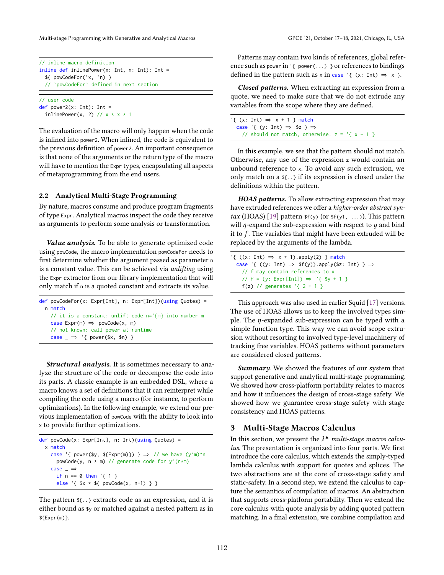Multi-stage Programming with Generative and Analytical Macros GPCE '21, October 17–18, 2021, Chicago, IL, USA

```
// inline macro definition
inline def inlinePower(x: Int, n: Int): Int =
 ${ powCodeFor('x, 'n) }
     // `powCodeFor` defined in next section
// user code
def power2(x: Int): Int =
```
inlinePower(x, 2) //  $x * x * 1$ 

The evaluation of the macro will only happen when the code is inlined into power2. When inlined, the code is equivalent to the previous definition of power2. An important consequence is that none of the arguments or the return type of the macro will have to mention the Expr types, encapsulating all aspects of metaprogramming from the end users.

# 2.2 Analytical Multi-Stage Programming

By nature, macros consume and produce program fragments of type Expr. Analytical macros inspect the code they receive as arguments to perform some analysis or transformation.

Value analysis. To be able to generate optimized code using powCode, the macro implementation powCodeFor needs to first determine whether the argument passed as parameter <sup>n</sup> is a constant value. This can be achieved via unlifting using the Expr extractor from our library implementation that will only match if <sup>n</sup> is a quoted constant and extracts its value.

| $def$ powCodeFor(x: Expr[Int], n: Expr[Int])(using Quotes) = |
|--------------------------------------------------------------|
| n match                                                      |
| // it is a constant: unlift code n='{m} into number m        |
| case $Expr(m) \Rightarrow powCode(x, m)$                     |
| // not known: call power at runtime                          |
| case $\Rightarrow$ '{ power(\$x, \$n) }                      |

Structural analysis. It is sometimes necessary to analyze the structure of the code or decompose the code into its parts. A classic example is an embedded DSL, where a macro knows a set of definitions that it can reinterpret while compiling the code using a macro (for instance, to perform optimizations). In the following example, we extend our previous implementation of powCode with the ability to look into <sup>x</sup> to provide further optimizations.

```
def powCode(x: Expr[Int], n: Int)(using Quotes) =
  x match
    case '{ power($y, ${Expr(m)}) } \Rightarrow // we have (y^m)^n
      powCode(y, n * m) // generate code for y^(n*m)
    case \rightarrowif n == 0 then '{ 1 }
      else '{ $x * ${ powCode(x, n-1) } }
```
The pattern \${..} extracts code as an expression, and it is either bound as \$y or matched against a nested pattern as in  $${Expr(m)}$ .

Patterns may contain two kinds of references, global reference such as power in '{ power(...) } or references to bindings defined in the pattern such as x in case '{ (x: Int)  $\Rightarrow$  x }.

Closed patterns. When extracting an expression from a quote, we need to make sure that we do not extrude any variables from the scope where they are defined.

'{  $(x: Int) \Rightarrow x + 1$  } match case '{ (y: Int)  $\Rightarrow$  \$z }  $\Rightarrow$ // should not match, otherwise:  $z = \{x + 1\}$ 

In this example, we see that the pattern should not match. Otherwise, any use of the expression <sup>z</sup> would contain an unbound reference to <sup>x</sup>. To avoid any such extrusion, we only match on a \${..} if its expression is closed under the definitions within the pattern.

HOAS patterns. To allow extracting expression that may have extruded references we offer a higher-order abstract syn-tax (HOAS) [\[19\]](#page-12-17) pattern  $f(y)$  (or  $f(y1, \ldots)$ ). This pattern will  $\eta$ -expand the sub-expression with respect to  $\eta$  and bind it to  $f$ . The variables that might have been extruded will be replaced by the arguments of the lambda.

```
'{ ((x: Int) \Rightarrow x + 1).apply(2) } match
  case '{ ((y: Int) \Rightarrow $f(y)).apply($z: Int) } \Rightarrow// f may contain references to x
    // f = (y: Expr[Int]) \Rightarrow '{ $y + 1 }
    f(z) // generates \{2 + 1\}
```
This approach was also used in earlier Squid [\[17\]](#page-12-18) versions. The use of HOAS allows us to keep the involved types simple. The  $\eta$ -expanded sub-expression can be typed with a simple function type. This way we can avoid scope extrusion without resorting to involved type-level machinery of tracking free variables. HOAS patterns without parameters are considered closed patterns.

Summary. We showed the features of our system that support generative and analytical multi-stage programming. We showed how cross-platform portability relates to macros and how it influences the design of cross-stage safety. We showed how we guarantee cross-stage safety with stage consistency and HOAS patterns.

# <span id="page-2-0"></span>3 Multi-Stage Macros Calculus

In this section, we present the  $\lambda^*$  multi-stage macros calculus. The presentation is organized into four parts. We first introduce the core calculus, which extends the simply-typed lambda calculus with support for quotes and splices. The two abstractions are at the core of cross-stage safety and static-safety. In a second step, we extend the calculus to capture the semantics of compilation of macros. An abstraction that supports cross-platform portability. Then we extend the core calculus with quote analysis by adding quoted pattern matching. In a final extension, we combine compilation and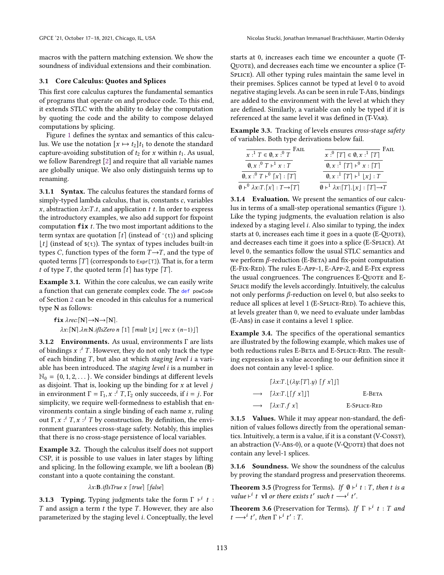macros with the pattern matching extension. We show the soundness of individual extensions and their combination.

### <span id="page-3-0"></span>3.1 Core Calculus: Quotes and Splices

This first core calculus captures the fundamental semantics of programs that operate on and produce code. To this end, it extends STLC with the ability to delay the computation by quoting the code and the ability to compose delayed computations by splicing.

Figure [1](#page-4-1) defines the syntax and semantics of this calculus. We use the notation  $[x \mapsto t_2]t_1$  to denote the standard capture-avoiding substitution of  $t_2$  for x within  $t_1$ . As usual, we follow Barendregt [\[2\]](#page-12-19) and require that all variable names are globally unique. We also only distinguish terms up to renaming.

3.1.1 Syntax. The calculus features the standard forms of simply-typed lambda calculus, that is, constants  $c$ , variables x, abstraction  $\lambda x$ : T.t, and application t t. In order to express the introductory examples, we also add support for fixpoint computation  $fix$   $t$ . The two most important additions to the term syntax are quotation  $[t]$  (instead of '{t}) and splicing  $\lfloor t \rfloor$  (instead of  $\mathfrak{F}(\mathsf{t})$ ). The syntax of types includes built-in types C, function types of the form  $T \rightarrow T$ , and the type of quoted terms  $[T]$  (corresponds to  $Expr[T]$ ). That is, for a term t of type T, the quoted term  $\lceil t \rceil$  has type  $\lceil T \rceil$ .

<span id="page-3-3"></span>Example 3.1. Within the core calculus, we can easily write a function that can generate complex code. The def powCode of Section [2](#page-1-0) can be encoded in this calculus for a numerical type N as follows:

 $fix \lambda rec: [N] \rightarrow N \rightarrow [N]$ .  $\lambda x:$ [N]. $\lambda n:$ N.*ifIsZero n* [1] [*mult*  $|x|$  | *rec*  $x$  (*n*-1)|]

3.1.2 Environments. As usual, environments Γ are lists of bindings  $x : I$ . However, they do not only track the type of each binding  $T$ , but also at which staging level  $i$  a variable has been introduced. The staging level  $i$  is a number in  $\mathbb{N}_0 = \{0, 1, 2, \dots\}$ . We consider bindings at different levels as disjoint. That is, looking up the binding for  $x$  at level  $j$ in environment  $\Gamma = \Gamma_1$ ,  $x : \iota^i T$ ,  $\Gamma_2$  only succeeds, if  $i = j$ . For simplicity, we require well-formedness to establish that environments contain a single binding of each name  $x$ , ruling out  $\Gamma, x : \mathbf{I}^T, x : \mathbf{I}^T$  by construction. By definition, the environment guarantees cross-stage safety. Notably, this implies that there is no cross-stage persistence of local variables.

Example 3.2. Though the calculus itself does not support CSP, it is possible to use values in later stages by lifting and splicing. In the following example, we lift a boolean (B) constant into a quote containing the constant.

$$
\lambda x{:}B. \textit{iff} \textit{True} \; x \; [\textit{true}] \; [\textit{false}]
$$

**3.1.3** Typing. Typing judgments take the form  $\Gamma \vdash^{i} t$ :  $T$  and assign a term  $t$  the type  $T$ . However, they are also parameterized by the staging level  $i$ . Conceptually, the level

starts at 0, increases each time we encounter a quote (T-QUOTE), and decreases each time we encounter a splice (T-SPLICE). All other typing rules maintain the same level in their premises. Splices cannot be typed at level 0 to avoid negative staging levels. As can be seen in rule T-ABS, bindings are added to the environment with the level at which they are defined. Similarly, a variable can only be typed if it is referenced at the same level it was defined in (T-Var).

Example 3.3. Tracking of levels ensures cross-stage safety of variables. Both type derivations below fail.

| $\overline{x: \mathbb{I} \mid T \in \emptyset, x: \mathbb{I} \mid T}$ FAIL                 | $\overline{x:^0 [T] \in \emptyset, x:^1 [T]}$ FAIL                                |
|--------------------------------------------------------------------------------------------|-----------------------------------------------------------------------------------|
| $\emptyset, x : ^{0}T \vdash^{1} x : T$                                                    | $\emptyset, x : \sup^1 [T] \vdash^0 x : [T]$                                      |
| $\emptyset, x : ^{0}T \vdash ^{0}[x] : [T]$                                                | $\emptyset, x : \mathbf{I} [T] \vdash^1  x  : T$                                  |
| $\emptyset \vdash^0 \lambda x$ : $T$ . $\lceil x \rceil$ : $T \rightarrow \lceil T \rceil$ | $\emptyset \vdash^1 \lambda x : [T] \ldotp \lfloor x \rfloor : [T] \rightarrow T$ |

3.1.4 Evaluation. We present the semantics of our calculus in terms of a small-step operational semantics (Figure [1\)](#page-4-1). Like the typing judgments, the evaluation relation is also indexed by a staging level  $i$ . Also similar to typing, the index starts at 0, increases each time it goes in a quote (E-Quore), and decreases each time it goes into a splice (E-Splice). At level 0, the semantics follow the usual STLC semantics and we perform  $\beta$ -reduction (E-BETA) and fix-point computation (E-Fix-Red). The rules E-App-1, E-App-2, and E-Fix express the usual congruences. The congruences E-Quore and E-SPLICE modify the levels accordingly. Intuitively, the calculus not only performs  $\beta$ -reduction on level 0, but also seeks to reduce all splices at level 1 (E-SPLICE-RED). To achieve this, at levels greater than 0, we need to evaluate under lambdas (E-Abs) in case it contains a level 1 splice.

Example 3.4. The specifics of the operational semantics are illustrated by the following example, which makes use of both reductions rules E-BETA and E-SPLICE-RED. The resulting expression is a value according to our definition since it does not contain any level-1 splice.

| $\lceil \lambda x : T \cdot \lfloor (\lambda y : T \cdot y) \rceil f x \rceil \rceil$ |              |
|---------------------------------------------------------------------------------------|--------------|
| $\rightarrow$ $\lceil \lambda x : T.   \lceil f x \rceil   \rceil$                    | E-Beta       |
| $\rightarrow$ $[\lambda x: T. f x]$                                                   | E-SPLICE-RED |

3.1.5 Values. While it may appear non-standard, the definition of values follows directly from the operational semantics. Intuitively, a term is a value, if it is a constant (V-Const), an abstraction (V-ABS-0), or a quote (V-QUOTE) that does not contain any level-1 splices.

3.1.6 Soundness. We show the soundness of the calculus by proving the standard progress and preservation theorems.

<span id="page-3-1"></span>**Theorem 3.5** (Progress for Terms). If  $\emptyset \vdash^{i} t : T$ , then t is a value  $\vdash^{i}$  t vl or there exists t' such t  $\longrightarrow^{i}$  t'.

<span id="page-3-2"></span>**Theorem 3.6** (Preservation for Terms). If  $\Gamma \vdash^{i} t : T$  and  $t \longrightarrow i$  t', then  $\Gamma \vdash^{i} t' : T$ .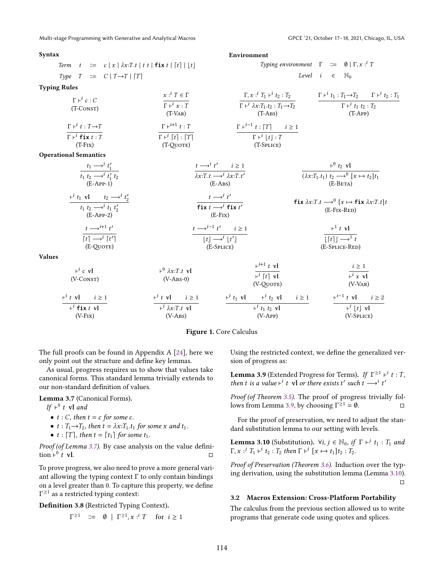Multi-stage Programming with Generative and Analytical Macros GPCE '21, October 17–18, 2021, Chicago, IL, USA

### <span id="page-4-1"></span>Syntax Term  $t = c | x | \lambda x : T \cdot t | t \cdot t | \textbf{fix } t | [t] | [t]$ Type  $T \cong C | T \rightarrow T | T |$ Environment Typing environment  $\Gamma$   $\equiv$  0 |  $\Gamma$ ,  $x :^{i}$  7 Level  $i \in \mathbb{N}_0$ Typing Rules  $\Gamma \vdash^i c : C$ (T-Const)  $x: \stackrel{i}{\cdot} T \in \Gamma$  $\Gamma \vdash^i x : T$ (T-Var)  $Γ, x :^{i} T_1 \vdash^{i} t_2 : T_2$  $\Gamma \vdash^{i} \lambda x : T_1.t_2 : T_1 \rightarrow T_2$  $(T-ABS)$  $\Gamma \vdash^{i} t_1 : T_1 \rightarrow T_2$   $\Gamma \vdash^{i} t_2 : T_1$  $\Gamma \vdash^{i} t_1 t_2 : T_2$ (T-App)  $\Gamma \vdash^{i} t : T \rightarrow T$  $\Gamma \vdash^i \mathsf{fix} \ t : T$ (T-Fix)  $\Gamma \vdash^{i+1} t : T$  $\Gamma \vdash^i [t] : [T]$ (T-Quote)  $\Gamma \vdash^{i-1} t : [T]$   $i \geq 1$  $\overline{\Gamma \vdash^{i} \lfloor t \rfloor : T}$ (T-Splice) Operational Semantics  $t_1 \longrightarrow^i t'_1$  $t_1$   $t_2$   $\longrightarrow$   $\overline{t'_1}$   $t_2$ (E-App-1)  $t \longrightarrow^i t'$   $i \geq 1$  $\overline{\lambda x:T.t \longrightarrow^{i} \lambda x:T.t'}$  $(E-ABS)$  $\vdash^0 t_2$  vl  $\overline{(\lambda x: T_1.t_1)}$   $t_2 \longrightarrow^0 [x \mapsto t_2] t_1$ (E-Beta)  $\vdash^{i} t_1 \text{ vl}$   $t_2 \longrightarrow^{i} t'_2$  $t_1$   $t_2$  →  $^i$   $t_1$   $t'_2$ <br>(E-App-2)  $t \longrightarrow^i t'$  $f$ **ix**  $t \rightarrow$ <sup>*i*</sup>  $f$ **ix**  $t'$ (E-Fix)  $f$ **ix**  $\lambda x: T.t \longrightarrow^0 [x \mapsto f$ **ix**  $\lambda x: T.t]$ (E-Fix-Red)  $t \longrightarrow^{i+1} t'$  $\overline{[t] \rightarrow^{i} [t']}$ (E-Quote)  $t \longrightarrow^{i-1} t'$   $i \geq 1$  $|t| \longrightarrow^{i} |t'|$ (E-Splice)  $\vdash^1 t$  vl  $\sqrt{|t|}$  $\rightarrow$ <sup>1</sup> (E-Splice-Red) Values  $\vdash^i c$  vl (V-Const)  $\vdash^0 \lambda x$ :*T.t* vl  $(V-ABS-0)$  $\vdash^{i+1} t \text{ vl}$  $\overline{\vdash^{i} [t]}$  vl (V-Quote)  $i \geq 1$  $\overline{\vdash^{i} x \text{ vl}}$  $(V-VAR)$  $\vdash^{i} t \text{ vl} \qquad i \geq 1$ ⊢ **fix** vl  $(V-Fix)$  $\vdash^{i} t \text{ vl} \qquad i \geq 1$  $\vdash^{i} \lambda x$ :*T.t* vl  $(V-ABS)$  $\vdash^{i} t_1 \text{ v1}$  ⊢<sup>i</sup>  $t_2 \text{ v1}$  *i* ≥ 1  $\vdash$ <sup>*i*</sup>  $t_1$   $t_2$  vl (V-App)  $\vdash^{i-1} t \text{ vl} \qquad i \geq 2$  $\vdash$ <sup>*i*</sup> [*t*] vl (V-Splice)

### Figure 1. Core Calculus

The full proofs can be found in Appendix A [\[24\]](#page-12-20), here we only point out the structure and define key lemmas.

As usual, progress requires us to show that values take canonical forms. This standard lemma trivially extends to our non-standard definition of values.

<span id="page-4-2"></span>Lemma 3.7 (Canonical Forms).

If  $\vdash^0 t$  vl and

- $t : C$ , then  $t = c$  for some  $c$ .
- $t: T_1 \rightarrow T_2$ , then  $t = \lambda x : T_1.t_1$  for some x and  $t_1$ .
- $t : [T]$ , then  $t = [t_1]$  for some  $t_1$ .

Proof (of Lemma [3.7\)](#page-4-2). By case analysis on the value definition ⊦<sup> $\dot{0}$ </sup>  $\overline{t}$  vl.  $\Box$ 

To prove progress, we also need to prove a more general variant allowing the typing context  $\Gamma$  to only contain bindings on a level greater than 0. To capture this property, we define Γ ≥1 as a restricted typing context:

Definition 3.8 (Restricted Typing Context).

$$
\Gamma^{\geq 1} \quad ::= \quad \emptyset \ \mid \ \Gamma^{\geq 1}, x : ^i T \quad \text{ for } i \geq 1
$$

Using the restricted context, we define the generalized version of progress as:

<span id="page-4-3"></span>**Lemma 3.9** (Extended Progress for Terms). If  $\Gamma^{\geq 1} \vdash^{i} t : T$ , then t is a value  $\vdash^{i}$  t vl or there exists t' such t  $\longrightarrow^{i}$  t'

Proof (of Theorem [3.5\)](#page-3-1). The proof of progress trivially fol-lows from Lemma [3.9,](#page-4-3) by choosing  $\Gamma^{\geq 1} = \emptyset$ .

For the proof of preservation, we need to adjust the standard substitution lemma to our setting with levels.

<span id="page-4-4"></span>**Lemma 3.10** (Substitution).  $\forall i, j \in \mathbb{N}_0$ , if  $\Gamma \vdash^{j} t_1 : T_1$  and  $\Gamma, x : J T_1 \vdash i t_2 : T_2 \text{ then } \Gamma \vdash i \ [x \mapsto t_1] t_2 : T_2.$ 

Proof of Preservation (Theorem [3.6\)](#page-3-2). Induction over the typing derivation, using the substitution lemma (Lemma [3.10\)](#page-4-4).  $\Box$ 

### <span id="page-4-0"></span>3.2 Macros Extension: Cross-Platform Portability

The calculus from the previous section allowed us to write programs that generate code using quotes and splices.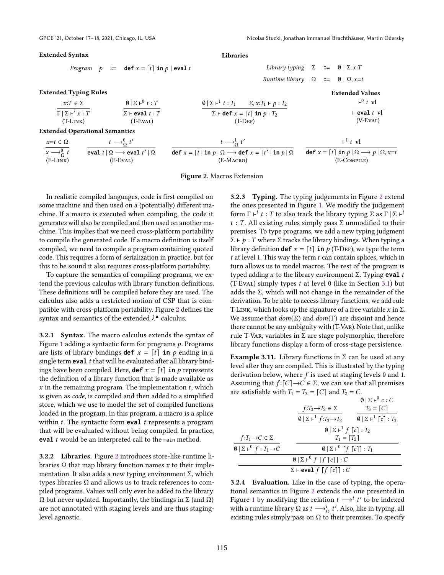### <span id="page-5-0"></span>Extended Syntax

Extended Typing Rules  $x{:}T \in \Sigma$  $\Gamma | \Sigma \vdash^{i} x : T$ 

Program  $p := \text{def } x = \lceil t \rceil \text{ in } p \mid \text{eval } t$ 

 $\emptyset$  |  $\Sigma$  + $^0$  t : T  $\Sigma$  **F eval**  $t : T$  Libraries

 $\emptyset$  |  $\Sigma$  +  $^1$  t :  $T_1$   $\Sigma$ ,  $x:T_1$  +  $p:T_2$  $\Sigma$  **⊢ def**  $x = [t]$  **in**  $p : T_2$  $(T-DEF)$ 

Library typing  $\Sigma \equiv \emptyset | \Sigma, x : T$ Runtime library  $\Omega$  ::=  $\emptyset | \Omega, x=t$ 

Extended Values

$$
\frac{\vdash^0 t \text{ vl}}{\vdash \text{eval } t \text{ vl}}{\text{(V-EVAL)}}
$$

(T-Link) (T-Eval) Extended Operational Semantics

| $x=t \in \Omega$               | $t \rightarrow 0 \atop 0 \t} t'$                          | $t \rightarrow \sim t'$                                                      | $\vdash$ <sup>1</sup> t vl                                                          |
|--------------------------------|-----------------------------------------------------------|------------------------------------------------------------------------------|-------------------------------------------------------------------------------------|
| $x \rightarrow 0 \atop 0 \t 1$ | eval $t\, \,\Omega\longrightarrow$ eval $t'\, \,\Omega\>$ | def $x = [t]$ in $p   \Omega \longrightarrow$ def $x = [t']$ in $p   \Omega$ | def $x = \lfloor t \rfloor$ in $p \mid \Omega \longrightarrow p \mid \Omega, x = t$ |
| $(E-LINK)$                     | (E-Eval)                                                  | (E-MACRO)                                                                    | (E-COMPILE)                                                                         |

Figure 2. Macros Extension

In realistic compiled languages, code is first compiled on some machine and then used on a (potentially) different machine. If a macro is executed when compiling, the code it generates will also be compiled and then used on another machine. This implies that we need cross-platform portability to compile the generated code. If a macro definition is itself compiled, we need to compile a program containing quoted code. This requires a form of serialization in practice, but for this to be sound it also requires cross-platform portability.

To capture the semantics of compiling programs, we extend the previous calculus with library function definitions. These definitions will be compiled before they are used. The calculus also adds a restricted notion of CSP that is compatible with cross-platform portability. Figure [2](#page-5-0) defines the syntax and semantics of the extended  $\lambda^*$  calculus.

3.2.1 Syntax. The macro calculus extends the syntax of Figure [1](#page-4-1) adding a syntactic form for programs  $p$ . Programs are lists of library bindings **def**  $x = \lceil t \rceil$  **in**  $p$  ending in a single term  $eval$   $t$  that will be evaluated after all library bindings have been compiled. Here, **def**  $x = \lceil t \rceil$  **in**  $p$  represents the definition of a library function that is made available as  $x$  in the remaining program. The implementation  $t$ , which is given as code, is compiled and then added to a simplified store, which we use to model the set of compiled functions loaded in the program. In this program, a macro is a splice within  $t$ . The syntactic form **eval**  $t$  represents a program that will be evaluated without being compiled. In practice, **eval** *t* would be an interpreted call to the main method.

3.2.2 Libraries. Figure [2](#page-5-0) introduces store-like runtime libraries Ω that map library function names *x* to their implementation. It also adds a new typing environment Σ, which types libraries Ω and allows us to track references to compiled programs. Values will only ever be added to the library  $Ω$  but never updated. Importantly, the bindings in  $Σ$  (and  $Ω$ ) are not annotated with staging levels and are thus staginglevel agnostic.

3.2.3 Typing. The typing judgements in Figure [2](#page-5-0) extend the ones presented in Figure [1.](#page-4-1) We modify the judgement form  $\Gamma \vdash^{i} t : T$  to also track the library typing  $\Sigma$  as  $\Gamma | \Sigma \vdash^{i}$  $t : T$ . All existing rules simply pass  $\Sigma$  unmodified to their premises. To type programs, we add a new typing judgment  $Σ$  ⊢  $p$  :  $T$  where  $Σ$  tracks the library bindings. When typing a library definition **def**  $x = \lfloor t \rfloor$  **in**  $p$  (T-DEF), we type the term  $t$  at level 1. This way the term  $t$  can contain splices, which in turn allows us to model macros. The rest of the program is typed adding  $x$  to the library environment  $\Sigma$ . Typing **eval**  $t$ (T-Eval) simply types  $t$  at level 0 (like in Section [3.1\)](#page-3-0) but adds the  $\Sigma$ , which will not change in the remainder of the derivation. To be able to access library functions, we add rule T-LINK, which looks up the signature of a free variable  $x$  in  $\Sigma$ . We assume that  $dom(\Sigma)$  and  $dom(\Gamma)$  are disjoint and hence there cannot be any ambiguity with (T-Var). Note that, unlike rule T-VAR, variables in  $\Sigma$  are stage polymorphic, therefore library functions display a form of cross-stage persistence.

**Example 3.11.** Library functions in  $\Sigma$  can be used at any level after they are compiled. This is illustrated by the typing derivation below, where  $f$  is used at staging levels 0 and 1. Assuming that  $f:[C]\to C\in \Sigma$ , we can see that all premises are satisfiable with  $T_1 = T_3 = [C]$  and  $T_2 = C$ .

|                                                                      |                                                                | $\emptyset$ $\Sigma$ + <sup>0</sup> c : C        |  |  |
|----------------------------------------------------------------------|----------------------------------------------------------------|--------------------------------------------------|--|--|
|                                                                      | $f: T_3 \rightarrow T_2 \in \Sigma$                            | $T_3 = [C]$                                      |  |  |
|                                                                      | $\emptyset$   $\Sigma$ + <sup>1</sup> $f: T_3 \rightarrow T_2$ | $\emptyset$ $\Sigma$ + $\lceil c \rceil$ : $T_3$ |  |  |
|                                                                      | $\emptyset$   $\Sigma$ + <sup>1</sup> $f$ $[c]$ : $T_2$        |                                                  |  |  |
| $f: T_1 \rightarrow C \in \Sigma$                                    | $T_1 = \lceil T_2 \rceil$                                      |                                                  |  |  |
| $\emptyset$   $\Sigma$ + <sup>0</sup> $f: T_1 \rightarrow C$         | $\emptyset$   $\Sigma$ + <sup>0</sup> [f [c]] : $T_1$          |                                                  |  |  |
|                                                                      | $\emptyset$   $\Sigma$ + <sup>0</sup> f [f [c]] : C            |                                                  |  |  |
| $\Sigma$ $\vdash$ eval $f \upharpoonright f \upharpoonright c$ ] : C |                                                                |                                                  |  |  |

3.2.4 Evaluation. Like in the case of typing, the operational semantics in Figure [2](#page-5-0) extends the one presented in Figure [1](#page-4-1) by modifying the relation  $t \rightarrow t'$  t' to be indexed with a runtime library  $\Omega$  as  $t \longrightarrow_{\Omega}^{i} t'$ . Also, like in typing, all existing rules simply pass on  $\Omega$  to their premises. To specify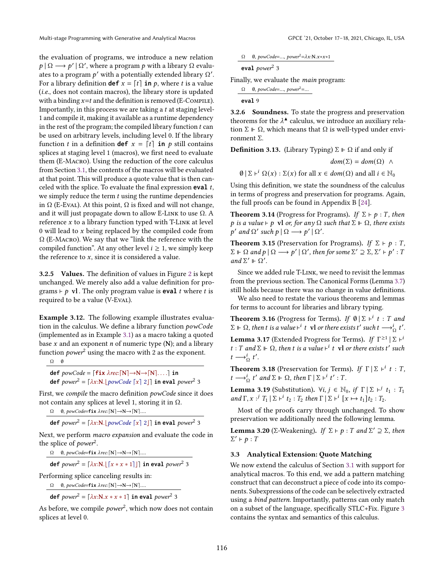the evaluation of programs, we introduce a new relation  $p | \Omega \longrightarrow p' | \Omega'$ , where a program p with a library  $\Omega$  evaluates to a program  $p'$  with a potentially extended library  $\Omega'$ . For a library definition **def**  $x = [t]$  **in**  $p$ , where *t* is a value (i.e., does not contain macros), the library store is updated with a binding  $x = t$  and the definition is removed (E-COMPILE). Importantly, in this process we are taking a  $t$  at staging level-1 and compile it, making it available as a runtime dependency in the rest of the program; the compiled library function  $t$  can be used on arbitrary levels, including level 0. If the library function *t* in a definition **def**  $x = \lceil t \rceil$  **in**  $p$  still contains splices at staging level 1 (macros), we first need to evaluate them (E-Macro). Using the reduction of the core calculus from Section [3.1,](#page-3-0) the contents of the macros will be evaluated at that point. This will produce a quote value that is then canceled with the splice. To evaluate the final expression **eval** t, we simply reduce the term  $t$  using the runtime dependencies in  $\Omega$  (E-Eval). At this point,  $\Omega$  is fixed and will not change, and it will just propagate down to allow E-LINK to use  $\Omega$ . A reference  $x$  to a library function typed with T-LINK at level 0 will lead to  $x$  being replaced by the compiled code from Ω (E-Macro). We say that we "link the reference with the compiled function". At any other level  $i \geq 1$ , we simply keep the reference to  $x$ , since it is considered a value.

3.2.5 Values. The definition of values in Figure [2](#page-5-0) is kept unchanged. We merely also add a value definition for programs  $\vdash p$  vl. The only program value is **eval** *t* where *t* is required to be a value (V-Eval).

Example 3.12. The following example illustrates evaluation in the calculus. We define a library function  $powCode$ (implemented as in Example [3.1\)](#page-3-3) as a macro taking a quoted base  $x$  and an exponent  $n$  of numeric type (N); and a library function *power*<sup>2</sup> using the macro with 2 as the exponent.

 $\Omega$   $\emptyset$ 

 $def \; powCode = [fix \; \lambda rec:[N] \rightarrow N \rightarrow [N] \dots] \; in$ **def**  $power^2 = [\lambda x : N. | powCode [x] 2]]$  in eval  $power^2 3$ 

First, we compile the macro definition powCode since it does not contain any splices at level 1, storing it in Ω.

 $\Omega$  **0**, powCode=**fix**  $\lambda$ rec: $[N] \rightarrow N \rightarrow [N]$ ....

**def**  $power^2 = [\lambda x:\mathbf{N} \cdot [power\,Code[x] 2]]$  in eval  $power^2$  3

Next, we perform macro expansion and evaluate the code in the splice of *power*<sup>2</sup>.

 $\Omega$  **0**, powCode=**fix**  $\lambda$ rec: $[N] \rightarrow N \rightarrow [N] \dots$ 

**def**  $power^2 = [\lambda x : N. [ [x * x * 1]] ]$  **in eval**  $power^2$  3

Performing splice canceling results in:

Ω *0, powCode*=fix λrec: [N]→N→ [N]....

**def**  $power^2 = [\lambda x: N.x * x * 1]$  in eval  $power^2$  3

As before, we compile  $power^2$ , which now does not contain splices at level 0.

 $\Omega$  0, powCode=..., power<sup>2</sup>= $\lambda x:\mathbf{N}.x*x*1$ 

$$
eval\ power^2\ 3
$$

Finally, we evaluate the main program:

$$
\frac{\Omega \quad 0, powCode=..., power^2=...}{\text{eval } 9}
$$

3.2.6 Soundness. To state the progress and preservation theorems for the  $\lambda^*$  calculus, we introduce an auxiliary relation  $\Sigma \Vdash \Omega$ , which means that  $\Omega$  is well-typed under environment Σ.

**Definition 3.13.** (Library Typing)  $\Sigma \vDash \Omega$  if and only if

 $dom(\Sigma) = dom(\Omega) \wedge$ 

 $\emptyset | \Sigma \vdash^{i} \Omega(x) : \Sigma(x)$  for all  $x \in dom(\Omega)$  and all  $i \in \mathbb{N}_{0}$ 

Using this definition, we state the soundness of the calculus in terms of progress and preservation for programs. Again, the full proofs can be found in Appendix B [\[24\]](#page-12-20).

<span id="page-6-1"></span>**Theorem 3.14** (Progress for Programs). If  $\Sigma \vdash p : T$ , then p is a value  $\vdash p$  vl or, for any  $\Omega$  such that  $\Sigma \Vdash \Omega$ , there exists  $p'$  and  $\Omega'$  such  $p | \Omega \longrightarrow p' | \Omega'.$ 

<span id="page-6-2"></span>**Theorem 3.15** (Preservation for Programs). If  $\Sigma \vdash p : T$ ,  $\Sigma \Vdash \Omega$  and  $p \mid \Omega \longrightarrow p' \mid \Omega'$ , then for some  $\Sigma' \supseteq \Sigma$ ,  $\Sigma' \vdash p' : T$ and  $\Sigma' \Vdash \Omega'.$ 

Since we added rule T-Link, we need to revisit the lemmas from the previous section. The Canonical Forms (Lemma [3.7\)](#page-4-2) still holds because there was no change in value definitions.

We also need to restate the various theorems and lemmas for terms to account for libraries and library typing.

**Theorem 3.16** (Progress for Terms). If  $\emptyset | \Sigma \vdash^{i} t : T$  and  $\Sigma$  ⊩ Ω, then t is a value  $\vdash^{i}$  t vl or there exists t' such t  $\longrightarrow_{\Omega}^{i}$  t'.

**Lemma 3.17** (Extended Progress for Terms). If  $\Gamma^{\geq 1} | \Sigma \vdash^i$ t : T and  $\Sigma \Vdash \Omega$ , then t is a value  $\vdash^{i}$  t vl or there exists t' such  $t \longrightarrow_{\Omega}^{i} t'.$ 

**Theorem 3.18** (Preservation for Terms). If  $\Gamma | \Sigma \vdash^{i} t : T$ ,  $t \longrightarrow_{\Omega}^{i} t'$  and  $\Sigma \Vdash \Omega$ , then  $\Gamma \mid \Sigma \vdash^{i} t' : T$ .

**Lemma 3.19** (Substitution).  $\forall i, j \in \mathbb{N}_0$ , if  $\Gamma | \Sigma \vdash^{j} t_1 : T_1$ and  $\Gamma$ ,  $x :^j$   $T_1 \mid \Sigma \vdash^i t_2 : T_2$  then  $\Gamma \mid \Sigma \vdash^i [x \mapsto t_1] t_2 : T_2$ .

Most of the proofs carry through unchanged. To show preservation we additionally need the following lemma.

**Lemma 3.20** (Σ-Weakening). If  $\Sigma \vdash p : T$  and  $\Sigma' \supseteq \Sigma$ , then  $\Sigma' \vdash p : T$ 

### <span id="page-6-0"></span>3.3 Analytical Extension: Quote Matching

We now extend the calculus of Section [3.1](#page-3-0) with support for analytical macros. To this end, we add a pattern matching construct that can deconstruct a piece of code into its components. Subexpressions of the code can be selectively extracted using a bind pattern. Importantly, patterns can only match on a subset of the language, specifically STLC+Fix. Figure [3](#page-7-0) contains the syntax and semantics of this calculus.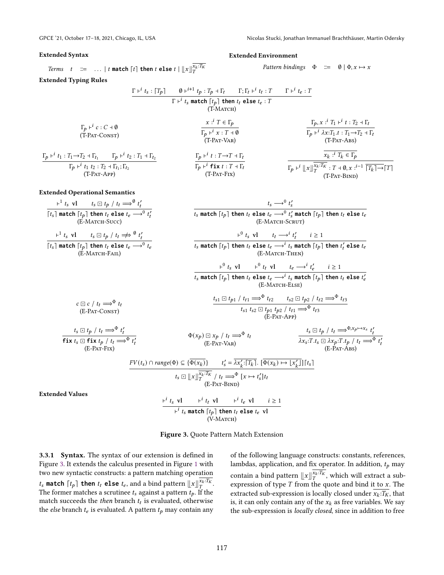*Terms* 
$$
t ::= ... | t \text{ match } [t] \text{ then } t \text{ else } t | \lfloor x \rfloor_T^{x_k:T_K}
$$

# <span id="page-7-0"></span>Extended Syntax Extended Environment

Pattern bindings  $\Phi$   $\cong$   $\emptyset$   $\Phi, x \mapsto x$ 

### Extended Typing Rules

 $\overline{\Gamma_p\vdash^i}$ 

 $c \ominus c / t_t \Longrightarrow^{\Phi} t_t$ (E-Pat-Const)

 $t_s \boxdot t_p / t_t \Longrightarrow^{\Phi} t'_t$ **fix**  $t_s \square$  **fix**  $t_p / t_t \Longrightarrow^{\Phi} t'_t$ <br>(E-PAT-FIX)

⊢ 1

$$
\frac{\Gamma_{r}^{i} t_{s}: [T_{p}] \qquad \emptyset_{r}^{i+1} t_{p}: T_{p} + T_{t} \qquad \Gamma_{r}^{i} t_{t} \quad \Gamma_{r}^{i} t_{t} \quad \Gamma_{r}^{i} t_{t} \quad \Gamma_{r}^{i} t_{t} \quad \Gamma_{r}^{i} t_{t} \quad \Gamma_{r}^{i} t_{t} \quad \Gamma_{r}^{i} t_{t} \quad \Gamma_{r}^{i} t_{t} \quad \Gamma_{r}^{i} t_{t} \quad \Gamma_{r}^{i} t_{t} \quad \Gamma_{r}^{i} t_{t} \quad \Gamma_{r}^{i} t_{t} \quad \Gamma_{r}^{i} t_{t} \quad \Gamma_{r}^{i} t_{t} \quad \Gamma_{r}^{i} t_{t} \quad \Gamma_{r}^{i} t_{t} \quad \Gamma_{r}^{i} t_{t} \quad \Gamma_{r}^{i} t_{t} \quad \Gamma_{r}^{i} t_{t} \quad \Gamma_{r}^{i} t_{t} \quad \Gamma_{r}^{i} t_{t} \quad \Gamma_{r}^{i} t_{t} \quad \Gamma_{r}^{i} t_{t} \quad \Gamma_{r}^{i} t_{t} \quad \Gamma_{r}^{i} t_{t} \quad \Gamma_{r}^{i} t_{t} \quad \Gamma_{r}^{i} t_{t} \quad \Gamma_{r}^{i} t_{t} \quad \Gamma_{r}^{i} t_{t} \quad \Gamma_{r}^{i} t_{t} \quad \Gamma_{r}^{i} t_{t} \quad \Gamma_{r}^{i} t_{t} \quad \Gamma_{r}^{i} t_{t} \quad \Gamma_{r}^{i} t_{t} \quad \Gamma_{r}^{i} t_{t} \quad \Gamma_{r}^{i} t_{t} \quad \Gamma_{r}^{i} t_{t} \quad \Gamma_{r}^{i} t_{t} \quad \Gamma_{r}^{i} t_{t} \quad \Gamma_{r}^{i} t_{t} \quad \Gamma_{r}^{i} t_{t} \quad \Gamma_{r}^{i} t_{t} \quad \Gamma_{r}^{i} t_{t} \quad \Gamma_{r}^{i} t_{t} \quad \Gamma_{r}^{i} t_{t} \quad \Gamma_{r}^{i} t_{t} \quad \Gamma_{r}^{i} t_{t} \quad \Gamma_{r}^{i} t_{t} \quad \Gamma_{r}^{i} t_{t} \quad \Gamma_{r}^{i} t_{t} \quad \Gamma_{r}^{i} t_{t
$$

$$
\begin{array}{ll}\n\text{[ts] match } \text{[tp] then } t_t \text{ else } t_e \longrightarrow^0 t_e \\
\text{(E-MATCH-FAIL)}\n\end{array}\n\qquad \qquad \text{[ts match } \text{[tp] then}
$$

$$
\frac{\vdash^0 t_s \text{ vl} \qquad \vdash^0 t_t \text{ vl} \qquad t_e \longrightarrow^i t'_e \qquad i \ge 1}{t_s \text{ match } [t_p] \text{ then } t_t \text{ else } t_e \longrightarrow^i t_s \text{ match } [t_p] \text{ then } t_t \text{ else } t_e}
$$
\n
$$
(E\text{-MACH-Else})
$$

(E-Match-Then)

$$
\frac{t_{s1} \boxdot t_{p1} / t_{t1} \Longrightarrow^{\Phi} t_{t2} \qquad t_{s2} \boxdot t_{p2} / t_{t2} \Longrightarrow^{\Phi} t_{t3}}{t_{s1} t_{s2} \boxdot t_{p1} t_{p2} / t_{t1} \Longrightarrow^{\Phi} t_{t3}}
$$
\n(E-PAT-APP)

 $\Phi(x_p) \sqsubseteq x_p / t_t \Longrightarrow^{\Phi} t_t$ <br>(E-PAT-VAR)

$$
t_{s} \boxdot t_{p} / t_{t} \Longrightarrow^{\Phi, x_{p} \mapsto x_{s}} t'_{t}
$$
  

$$
\lambda x_{s}:T.t_{s} \boxdot \lambda x_{p}:T.t_{p} / t_{t} \Longrightarrow^{\Phi} t'_{t}
$$
  
(E-PAT-ABS)

′

$$
\frac{FV(t_s) \cap range(\Phi) \subseteq \{\overline{\Phi(x_k)}\} \qquad t'_s = \overline{\lambda x'_k : [T_k]} \quad [\overline{\Phi(x_k) \mapsto \lfloor x'_k \rfloor}] \mid t_s \}
$$
\n
$$
t_s \sqcup [x] \vert \overline{x_k : T_k} / t_t \Longrightarrow^{\Phi} [x \mapsto t'_s] t_t
$$
\n
$$
(E-PAT-BIND)
$$

Extended Values

$$
\frac{\vdash^{i} t_{s} \text{ vl} \qquad \vdash^{i} t_{t} \text{ vl} \qquad \vdash^{i} t_{e} \text{ vl} \qquad i \geq 1}{\vdash^{i} t_{s} \text{ match } [t_{p}] \text{ then } t_{t} \text{ else } t_{e} \text{ vl}
$$
\n(V-MATCH)

Figure 3. Quote Pattern Match Extension

3.3.1 Syntax. The syntax of our extension is defined in Figure [3.](#page-7-0) It extends the calculus presented in Figure [1](#page-4-1) with two new syntactic constructs: a pattern matching operation  $t_s$  match  $[t_p]$  then  $t_t$  else  $t_e$ , and a bind pattern  $\lfloor x \rfloor_{T}^{\overline{x_k:T_K}}$ .<br>The former matches a servinge t, expirate pattern t, If the The former matches a scrutinee  $t_s$  against a pattern  $t_p$ . If the match succeeds the *then* branch  $t_t$  is evaluated, otherwise the *else* branch  $t_e$  is evaluated. A pattern  $t_p$  may contain any

of the following language constructs: constants, references, lambdas, application, and fix operator. In addition,  $t_p$  may contain a bind pattern  $||x||_T^{\overline{X}_k \cdot \overline{X}_k}$ , which will extract a sub-<br>expression of type T from the quote and bind it to x. The expression of type  $T$  from the quote and bind it to  $x$ . The extracted sub-expression is locally closed under  $\overline{x_k}$ :  $\overline{T_k}$ , that is, it can only contain any of the  $x_k$  as free variables. We say the sub-expression is locally closed, since in addition to free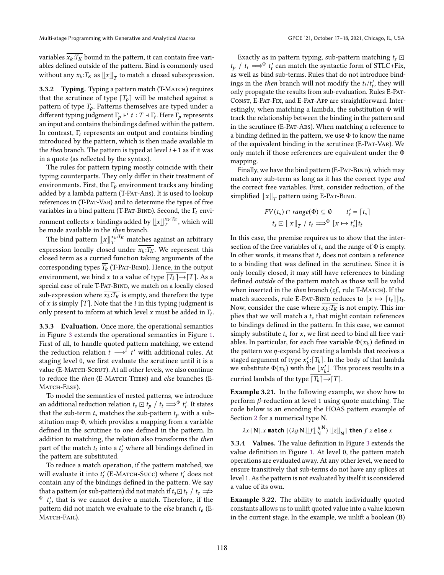variables  $\overline{x_k: T_K}$  bound in the pattern, it can contain free variables defined outside of the pattern. Bind is commonly used without any  $\overline{x_k:T_K}$  as  $\left\|x\right\|_T$  to match a closed subexpression.

3.3.2 Typing. Typing a pattern match (T-MATCH) requires that the scrutinee of type  $[T_p]$  will be matched against a pattern of type  $T_p$ . Patterns themselves are typed under a different typing judgment  $\Gamma_p \vdash^{i} t : T \dashv \Gamma_t$ . Here  $\Gamma_p$  represents an input and contains the bindings defined within the pattern. In contrast,  $\Gamma_t$  represents an output and contains binding introduced by the pattern, which is then made available in the *then* branch. The pattern is typed at level  $i + 1$  as if it was in a quote (as reflected by the syntax).

The rules for pattern typing mostly coincide with their typing counterparts. They only differ in their treatment of environments. First, the  $\Gamma_p$  environment tracks any binding added by a lambda pattern (T-PAT-ABS). It is used to lookup references in (T-Pat-Var) and to determine the types of free variables in a bind pattern (T-PAT-BIND). Second, the  $\Gamma_t$  environment collects *x* bindings added by  $\llbracket x \rrbracket_{T}^{\overline{x_k:T_K}}$ , which will be made available in the  $then$  branch.</u>

The bind pattern  $\lfloor x \rfloor_{T}^{\overline{x_k}:\overline{Tx}}$  matches against an arbitrary expression locally closed under  $x_k:T_K$ . We represent this closed term as a curried function taking arguments of the corresponding types  $\overline{T_k}$  (T-Pat-BIND). Hence, in the output environment, we bind x to a value of type  $\boxed{T_k} \rightarrow \boxed{T}$ . As a special case of rule T-PAT-BIND, we match on a locally closed sub-expression where  $\overline{x_k:T_K}$  is empty, and therefore the type of  $x$  is simply  $[T]$ . Note that the  $i$  in this typing judgment is only present to inform at which level x must be added in  $\Gamma_t$ .

3.3.3 Evaluation. Once more, the operational semantics in Figure [3](#page-7-0) extends the operational semantics in Figure [1.](#page-4-1) First of all, to handle quoted pattern matching, we extend the reduction relation  $t \rightarrow t'$  with additional rules. At staging level 0, we first evaluate the scrutinee until it is a value (E-MATCH-SCRUT). At all other levels, we also continue to reduce the then (E-MATCH-THEN) and else branches (E-MATCH-ELSE).

To model the semantics of nested patterns, we introduce an additional reduction relation  $t_s \square t_p / t_t \Longrightarrow^{\Phi} t'_t$ . It states<br>that the sub-term t-matches the sub-nettern t-with a subthat the sub-term  $t_s$  matches the sub-pattern  $t_b$  with a substitution map Φ, which provides a mapping from a variable defined in the scrutinee to one defined in the pattern. In addition to matching, the relation also transforms the then part of the match  $t_t$  into a  $t'_t$  where all bindings defined in the pattern are substituted.

To reduce a match operation, if the pattern matched, we will evaluate it into  $t'_{t}$  (E-MATCH-Succ) where  $t'_{t}$  does not contain any of the bindings defined in the pattern. We say that a pattern (or sub-pattern) did not match if  $t_s \square t_t / t_e \rightleftharpoons$  $\Phi$   $t'_{t}$ , that is we cannot derive a match. Therefore, if the pattern did not match we evaluate to the *else* branch  $t_e$  (E-MATCH-FAIL).

Exactly as in pattern typing, sub-pattern matching  $t_s \square$  $t_p$  /  $t_t \Longrightarrow^{\Phi} t'_t$  can match the syntactic form of STLC+Fix, as well as bind sub-terms. Rules that do not introduce bindings in the *then* branch will not modify the  $t_t/t'_t$ , they will only propagate the results from sub-evaluation. Rules E-Pat-CONST, E-PAT-FIX, and E-PAT-APP are straightforward. Interestingly, when matching a lambda, the substitution  $\Phi$  will track the relationship between the binding in the pattern and in the scrutinee (E-Pat-Abs). When matching a reference to a binding defined in the pattern, we use Φ to know the name of the equivalent binding in the scrutinee (E-PAT-VAR). We only match if those references are equivalent under the Φ mapping.

Finally, we have the bind pattern (E-PAT-BIND), which may match any sub-term as long as it has the correct type and the correct free variables. First, consider reduction, of the simplified  $\left\Vert x\right\Vert _{T}$  pattern using E-Par-BIND.

$$
\frac{FV(t_s) \cap range(\Phi) \subseteq \emptyset \qquad t'_s = \lceil t_s \rceil}{t_s \boxdot \lfloor x \rfloor_T / t_t \Longrightarrow^{\Phi} \lceil x \mapsto t'_s \rceil t_t}
$$

In this case, the premise requires us to show that the intersection of the free variables of  $t_s$  and the range of  $\Phi$  is empty. In other words, it means that  $t_s$  does not contain a reference to a binding that was defined in the scrutinee. Since it is only locally closed, it may still have references to binding defined outside of the pattern match as those will be valid when inserted in the *then* branch  $(cf.,$  rule T-MATCH). If the match succeeds, rule E-PAT-BIND reduces to  $[x \mapsto [t_s]]t_t$ . Now, consider the case where  $\overline{x_k}:\overline{I_K}$  is not empty. This implies that we will match a  $t<sub>s</sub>$  that might contain references to bindings defined in the pattern. In this case, we cannot simply substitute  $t_s$  for x, we first need to bind all free variables. In particular, for each free variable  $\Phi(x_k)$  defined in the pattern we  $\eta$ -expand by creating a lambda that receives a staged argument of type  $x'_{k}$ : [T<sub>k</sub>]. In the body of that lambda we substitute  $\Phi(x_k)$  with the  $\lfloor x'_k \rfloor$ . This process results in a curried lambda of the type  $\overline{T_k}$  $\rightarrow$   $\overline{T}$ ].

Example 3.21. In the following example, we show how to perform  $\beta$ -reduction at level 1 using quote matching. The code below is an encoding the HOAS pattern example of Section [2](#page-1-0) for a numerical type N.

 $\lambda x:$  [N]  $.x$  match  $\lceil (\lambda y: \mathbf{N}.\Vert f \Vert_{\mathbf{N}}^{y: \mathbf{N}})$  $\mathbb{E}_{N}^{y:\mathbf{N}}$   $\mathbb{E}[\mathbb{E}[x]_{N}]$  then  $f$   $z$  else  $x$ 

3.3.4 Values. The value definition in Figure [3](#page-7-0) extends the value definition in Figure [1.](#page-4-1) At level 0, the pattern match operations are evaluated away. At any other level, we need to ensure transitively that sub-terms do not have any splices at level 1. As the pattern is not evaluated by itself it is considered a value of its own.

<span id="page-8-0"></span>Example 3.22. The ability to match individually quoted constants allows us to unlift quoted value into a value known in the current stage. In the example, we unlift a boolean (B)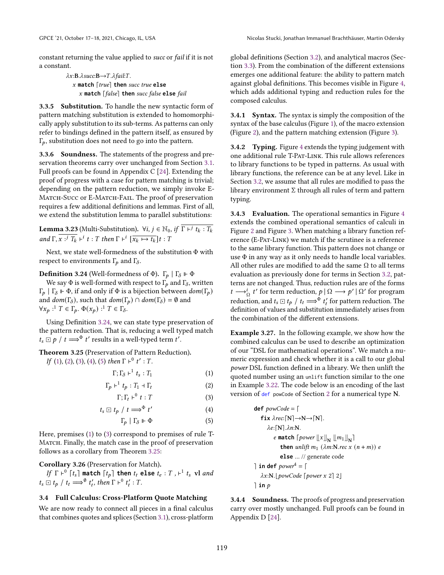constant returning the value applied to succ or fail if it is not a constant.

> $\lambda x$ : B. $\lambda succ$ : B $\rightarrow$  T. $\lambda fail$ : T. **match** ⌈true⌉ **then** succ true **else match** ⌈false⌉ **then** succ false **else** fail

3.3.5 Substitution. To handle the new syntactic form of pattern matching substitution is extended to homomorphically apply substitution to its sub-terms. As patterns can only refer to bindings defined in the pattern itself, as ensured by  $\Gamma_p$ , substitution does not need to go into the pattern.

3.3.6 Soundness. The statements of the progress and preservation theorems carry over unchanged from Section [3.1.](#page-3-0) Full proofs can be found in Appendix C [\[24\]](#page-12-20). Extending the proof of progress with a case for pattern matching is trivial; depending on the pattern reduction, we simply invoke E-MATCH-SUCC or E-MATCH-FAIL. The proof of preservation requires a few additional definitions and lemmas. First of all, we extend the substitution lemma to parallel substitutions:

**Lemma 3.23** (Multi-Substitution).  $\forall i, j \in \mathbb{N}_0$ , if  $\overline{\Gamma \vdash^{j} t_k : T_k}$ and  $\Gamma$ ,  $\overline{x}$  :  $\overline{T_k}$   $\vdash^i t$  : T then  $\Gamma \vdash^i [\overline{x_k \mapsto t_k}] t$  : T

Next, we state well-formedness of the substitution Φ with respect to environments  $\Gamma_p$  and  $\Gamma_\delta$ .

<span id="page-9-0"></span>**Definition 3.24** (Well-formedness of  $\Phi$ ).  $\Gamma_p | \Gamma_{\delta} \Vdash \Phi$ 

We say  $\Phi$  is well-formed with respect to  $\Gamma_p$  and  $\Gamma_\delta$ , written  $Γ_p | Γ_δ ⊩ Φ$ , if and only if Φ is a bijection between  $dom(Γ_p)$ and  $dom(\Gamma_{\delta})$ , such that  $dom(\Gamma_{\rho}) \cap dom(\Gamma_{\delta}) = \emptyset$  and  $\forall x_p : T \in \Gamma_p$ .  $\Phi(x_p) : T \in \Gamma_\delta$ .

Using Definition [3.24,](#page-9-0) we can state type preservation of the pattern reduction. That is, reducing a well typed match  $t_s \square p / t \Longrightarrow^{\Phi} t'$  results in a well-typed term  $t'.$ 

<span id="page-9-6"></span>Theorem 3.25 (Preservation of Pattern Reduction). If [\(1\)](#page-9-1), [\(2\)](#page-9-2), [\(3\)](#page-9-3), [\(4\)](#page-9-4), [\(5\)](#page-9-5) then  $\Gamma \vdash^0 t' : T$ .

$$
\Gamma; \Gamma_{\delta} \vdash^1 t_s : T_1 \tag{1}
$$

$$
\Gamma_p \vdash^1 t_p : T_1 \dashv \Gamma_t \tag{2}
$$

$$
\Gamma; \Gamma_t \vdash^0 t : T \tag{3}
$$

$$
t_s \boxdot t_p / t \Longrightarrow^{\Phi} t' \tag{4}
$$

$$
\Gamma_p \mid \Gamma_\delta \Vdash \Phi \tag{5}
$$

Here, premises [\(1\)](#page-9-1) to [\(3\)](#page-9-3) correspond to premises of rule T-Матсн. Finally, the match case in the proof of preservation follows as a corollary from Theorem [3.25:](#page-9-6)

# Corollary 3.26 (Preservation for Match).

If  $\Gamma \vdash^{0} [t_{s}]$  match  $\lceil t_{p} \rceil$  then  $t_{t}$  else  $t_{e}:T$  ,  $\vdash^{1} t_{s}$  vl and  $t_s \square t_p / t_t \Longrightarrow^{\emptyset} t'_t$ , then  $\Gamma \vdash^{\emptyset} t'_t : T$ .

# 3.4 Full Calculus: Cross-Platform Quote Matching

We are now ready to connect all pieces in a final calculus that combines quotes and splices (Section [3.1\)](#page-3-0), cross-platform

global definitions (Section [3.2\)](#page-4-0), and analytical macros (Section [3.3\)](#page-6-0). From the combination of the different extensions emerges one additional feature: the ability to pattern match against global definitions. This becomes visible in Figure [4,](#page-10-1) which adds additional typing and reduction rules for the composed calculus.

3.4.1 Syntax. The syntax is simply the composition of the syntax of the base calculus (Figure [1\)](#page-4-1), of the macro extension (Figure [2\)](#page-5-0), and the pattern matching extension (Figure [3\)](#page-7-0).

3.4.2 Typing. Figure [4](#page-10-1) extends the typing judgement with one additional rule T-Pat-Link. This rule allows references to library functions to be typed in patterns. As usual with library functions, the reference can be at any level. Like in Section [3.2,](#page-4-0) we assume that all rules are modified to pass the library environment Σ through all rules of term and pattern typing.

3.4.3 Evaluation. The operational semantics in Figure [4](#page-10-1) extends the combined operational semantics of calculi in Figure [2](#page-5-0) and Figure [3.](#page-7-0) When matching a library function reference (E-Pat-Link) we match if the scrutinee is a reference to the same library function. This pattern does not change or use  $\Phi$  in any way as it only needs to handle local variables. All other rules are modified to add the same  $\Omega$  to all terms evaluation as previously done for terms in Section [3.2,](#page-4-0) patterns are not changed. Thus, reduction rules are of the forms  $t \longrightarrow_{\Omega}^{i} t'$  for term reduction,  $p | \Omega \longrightarrow p' | \Omega'$  for program reduction, and  $t_s \square t_p / t_t \Longrightarrow^{\Phi} t'_t$  for pattern reduction. The definition of values and substitution immediately arises from the combination of the different extensions.

<span id="page-9-2"></span><span id="page-9-1"></span>Example 3.27. In the following example, we show how the combined calculus can be used to describe an optimization of our "DSL for mathematical operations". We match a numeric expression and check whether it is a call to our global power DSL function defined in a library. We then unlift the quoted number using an unlift function similar to the one in Example [3.22.](#page-8-0) The code below is an encoding of the last version of def powCode of Section [2](#page-1-0) for a numerical type N.

<span id="page-9-5"></span><span id="page-9-4"></span><span id="page-9-3"></span>**def** powCode = ⌈ **fix** rec:⌈N⌉→N→⌈N⌉. :⌈N⌉.:N. **match** ⌈power <sup>T</sup>U<sup>N</sup> <sup>T</sup>1U<sup>N</sup> ⌉ **then** unlift <sup>1</sup> (:N.rec ( + )) **else** ... // generate code ⌉ **in def** power<sup>4</sup> <sup>=</sup> ⌈ :N.⌊powCode ⌈power 2⌉ 2⌋ ⌉ **in**

3.4.4 Soundness. The proofs of progress and preservation carry over mostly unchanged. Full proofs can be found in Appendix D [\[24\]](#page-12-20).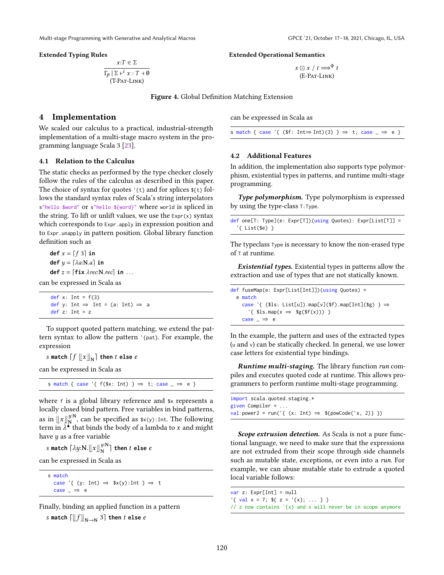$$
x:T \in \Sigma
$$
  
\n
$$
\Gamma_p | \Sigma \vdash^i x : T \dashv \emptyset
$$
  
\n
$$
(T-PAT-LINK)
$$

<span id="page-10-1"></span>Extended Typing Rules Extended Operational Semantics

```
x \bigoplus x / t \Longrightarrow^{\Phi} t(E-Pat-Link)
```
Figure 4. Global Definition Matching Extension

# <span id="page-10-0"></span>4 Implementation

We scaled our calculus to a practical, industrial-strength implementation of a multi-stage macro system in the programming language Scala 3 [\[23\]](#page-12-21).

### 4.1 Relation to the Calculus

The static checks as performed by the type checker closely follow the rules of the calculus as described in this paper. The choice of syntax for quotes  $\{\tau\}$  and for splices  $\{\tau\}$  follows the standard syntax rules of Scala's string interpolators s"hello \$word" or s"hello \${word}" where world is spliced in the string. To lift or unlift values, we use the  $\text{Expr}(x)$  syntax which corresponds to Expr.apply in expression position and to Expr.unapply in pattern position. Global library function definition such as

**def**  $x = \lfloor f \ 3 \rfloor$  **in**  $def y = [\lambda a: N.a]$  in  $def z = [fix \lambda rec:N.rec] in ...$ can be expressed in Scala as

> def  $x$ : Int =  $f(3)$ def y: Int  $\Rightarrow$  Int = (a: Int)  $\Rightarrow$  a def  $z$ : Int =  $z$

To support quoted pattern matching, we extend the pattern syntax to allow the pattern '{pat}. For example, the expression

s match  $\lceil f \ln x \rceil$  then *t* else *e* 

can be expressed in Scala as

s match { case '{  $f$ (\$x: Int) }  $\Rightarrow$  t; case  $\Rightarrow$  e }

where <sup>f</sup> is a global library reference and \$x represents a locally closed bind pattern. Free variables in bind patterns, as in  $\mathbb{L}[x]_{N}^{y:N}$  $y:N$ , can be specified as  $(x(y))$ :Int. The following term in  $\overline{\lambda}^N$  that binds the body of a lambda to x and might have  $y$  as a free variable

s match  $\lceil \lambda y \mathbf{:} \mathbf{N} \cdot \mathbf{r} \mathbf{N} \mathbf{N} \mathbf{N}$  $\frac{y:\mathbf{N}}{\mathbf{N}}$  then *t* else *e* 

can be expressed in Scala as

s match case '{ (y: Int)  $\Rightarrow$  \$x(y):Int }  $\Rightarrow$  t case  $\Rightarrow$  e

Finally, binding an applied function in a pattern  $s$  match  $\left[\left\|f\right\|_{N\to N}3\right]$  then  $t$  else  $e$ 

can be expressed in Scala as

```
s match { case '{ (\text{fs: Int} \Rightarrow \text{Int})(3) } \Rightarrow t; case \Rightarrow e }
```
### 4.2 Additional Features

In addition, the implementation also supports type polymorphism, existential types in patterns, and runtime multi-stage programming.

Type polymorphism. Type polymorphism is expressed by using the type-class T:Type.

```
def one[T: Type](e: Expr[T])(using Quotes): Expr[List[T]] =
  '{ List($e) }
```
The typeclass Type is necessary to know the non-erased type of <sup>T</sup> at runtime.

Existential types. Existential types in patterns allow the extraction and use of types that are not statically known.

```
def fuseMap(e: Expr[List[Int]])(using Quotes) =
  e match
    case '{ ($ls: List[u]) .map[v]($f) .map[Int]($g) } \Rightarrow'{ $ls.map(x \Rightarrow $g($f(x))) }
    case \Rightarrow e
```
In the example, the pattern and uses of the extracted types (<sup>u</sup> and <sup>v</sup>) can be statically checked. In general, we use lower case letters for existential type bindings.

Runtime multi-staging. The library function run compiles and executes quoted code at runtime. This allows programmers to perform runtime multi-stage programming.

| import scala.quoted.staging.*                                    |  |  |  |  |  |
|------------------------------------------------------------------|--|--|--|--|--|
| given Compiler = $\dots$                                         |  |  |  |  |  |
| val power2 = run('{ (x: Int) $\Rightarrow$ \${powCode('x, 2)} }) |  |  |  |  |  |

Scope extrusion detection. As Scala is not a pure functional language, we need to make sure that the expressions are not extruded from their scope through side channels such as mutable state, exceptions, or even into a *run*. For example, we can abuse mutable state to extrude a quoted local variable follows:

var z: Expr[Int] = null

'{ val  $x = 7$ ;  $f{ z = 'x}; ... }$ 

// z now contains '{x} and x will never be in scope anymore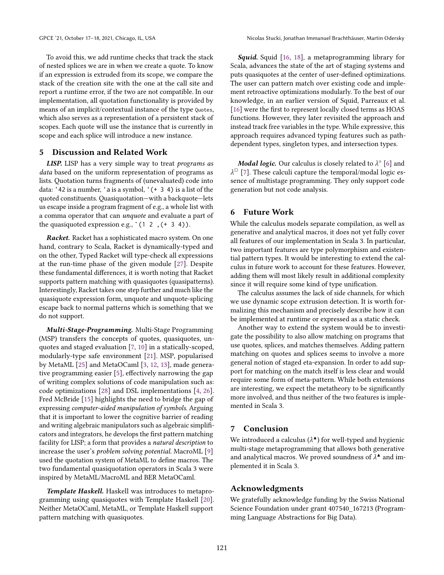To avoid this, we add runtime checks that track the stack of nested splices we are in when we create a quote. To know if an expression is extruded from its scope, we compare the stack of the creation site with the one at the call site and report a runtime error, if the two are not compatible. In our implementation, all quotation functionality is provided by means of an implicit/contextual instance of the type Quotes, which also serves as a representation of a persistent stack of scopes. Each quote will use the instance that is currently in scope and each splice will introduce a new instance.

# 5 Discussion and Related Work

LISP. LISP has a very simple way to treat programs as data based on the uniform representation of programs as lists. Quotation turns fragments of (unevaluated) code into data: '42 is a number, 'a is a symbol, '(+ 3 4) is a list of the quoted constituents. Quasiquotation—with a backquote—lets us escape inside a program fragment of e.g., a whole list with a comma operator that can unquote and evaluate a part of the quasiquoted expression e.g.,  $(1 2, (+ 3 4))$ .

**Racket.** Racket has a sophisticated macro system. On one hand, contrary to Scala, Racket is dynamically-typed and on the other, Typed Racket will type-check all expressions at the run-time phase of the given module [\[27\]](#page-12-22). Despite these fundamental differences, it is worth noting that Racket supports pattern matching with quasiquotes (quasipatterns). Interestingly, Racket takes one step further and much like the quasiquote expression form, unquote and unquote-splicing escape back to normal patterns which is something that we do not support.

Multi-Stage-Programming. Multi-Stage Programming (MSP) transfers the concepts of quotes, quasiquotes, unquotes and staged evaluation [\[7,](#page-12-23) [10\]](#page-12-24) in a statically-scoped, modularly-type safe environment [\[21\]](#page-12-6). MSP, popularised by MetaML [\[25\]](#page-12-9) and MetaOCaml [\[3,](#page-12-10) [12,](#page-12-25) [13\]](#page-12-12), made generative programming easier [\[5\]](#page-12-1), effectively narrowing the gap of writing complex solutions of code manipulation such as: code optimizations [\[28\]](#page-12-2) and DSL implementations [\[4,](#page-12-3) [26\]](#page-12-4). Fred McBride [\[15\]](#page-12-26) highlights the need to bridge the gap of expressing computer-aided manipulation of symbols. Arguing that it is important to lower the cognitive barrier of reading and writing algebraic manipulators such as algebraic simplificators and integrators, he develops the first pattern matching facility for LISP; a form that provides a natural description to increase the user's problem solving potential. MacroML [\[9\]](#page-12-13) used the quotation system of MetaML to define macros. The two fundamental quasiquotation operators in Scala 3 were inspired by MetaML/MacroML and BER MetaOCaml.

Template Haskell. Haskell was introduces to metaprogramming using quasiquotes with Template Haskell [\[20\]](#page-12-27). Neither MetaOCaml, MetaML, or Template Haskell support pattern matching with quasiquotes.

**Squid.** Squid [\[16,](#page-12-14) [18\]](#page-12-15), a metaprogramming library for Scala, advances the state of the art of staging systems and puts quasiquotes at the center of user-defined optimizations. The user can pattern match over existing code and implement retroactive optimizations modularly. To the best of our knowledge, in an earlier version of Squid, Parreaux et al. [\[16\]](#page-12-14) were the first to represent locally closed terms as HOAS functions. However, they later revisited the approach and instead track free variables in the type. While expressive, this approach requires advanced typing features such as pathdependent types, singleton types, and intersection types.

**Modal logic.** Our calculus is closely related to  $\lambda^{\circ}$  [\[6\]](#page-12-28) and  $\lambda^{\Box}$  [\[7\]](#page-12-23). These calculi capture the temporal/modal logic essence of multistage programming. They only support code generation but not code analysis.

# 6 Future Work

While the calculus models separate compilation, as well as generative and analytical macros, it does not yet fully cover all features of our implementation in Scala 3. In particular, two important features are type polymorphism and existential pattern types. It would be interesting to extend the calculus in future work to account for these features. However, adding them will most likely result in additional complexity since it will require some kind of type unification.

The calculus assumes the lack of side channels, for which we use dynamic scope extrusion detection. It is worth formalizing this mechanism and precisely describe how it can be implemented at runtime or expressed as a static check.

Another way to extend the system would be to investigate the possibility to also allow matching on programs that use quotes, splices, and matches themselves. Adding pattern matching on quotes and splices seems to involve a more general notion of staged eta-expansion. In order to add support for matching on the match itself is less clear and would require some form of meta-pattern. While both extensions are interesting, we expect the metatheory to be significantly more involved, and thus neither of the two features is implemented in Scala 3.

# 7 Conclusion

We introduced a calculus ( $\lambda^{\blacktriangle}$ ) for well-typed and hygienic multi-stage metaprogramming that allows both generative and analytical macros. We proved soundness of  $\lambda^*$  and implemented it in Scala 3.

### Acknowledgments

We gratefully acknowledge funding by the Swiss National Science Foundation under grant 407540\_167213 (Programming Language Abstractions for Big Data).